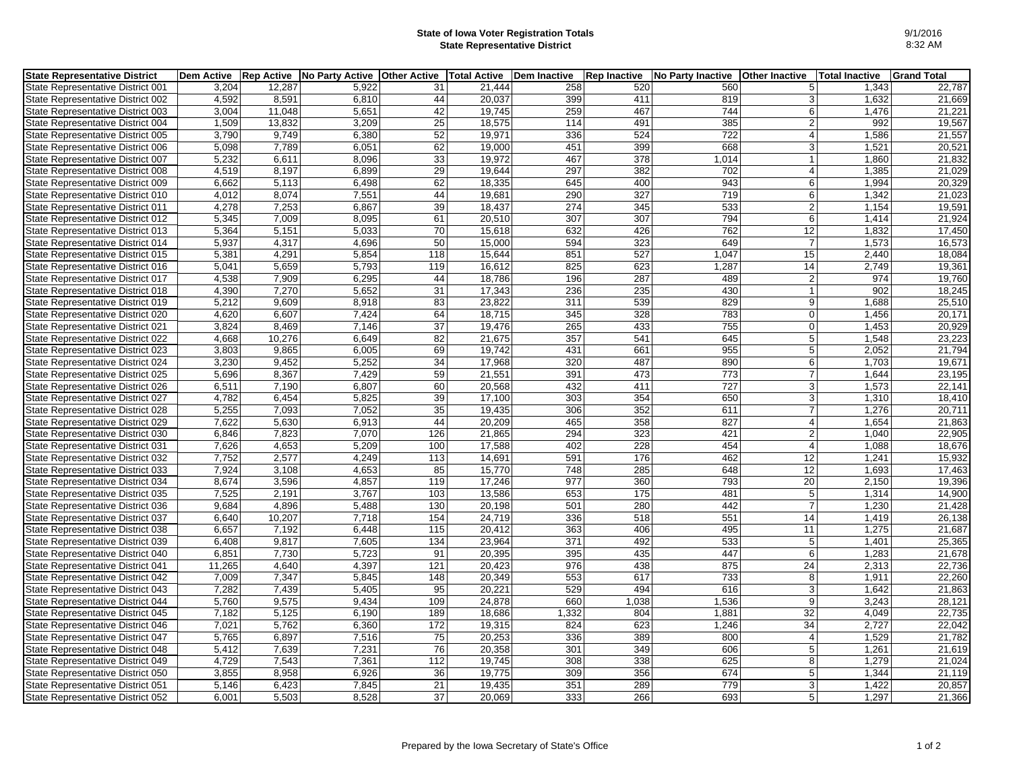## **State of Iowa Voter Registration Totals State Representative District**

| 9/1/2016 |
|----------|
| 8:32 AM  |

| <b>State Representative District</b> | <b>Dem Active</b> |        | Rep Active No Party Active Other Active   Total Active   Dem Inactive |     |        |       | <b>Rep Inactive</b> | No Party Inactive | <b>Other Inactive</b> | <b>Total Inactive</b> | <b>Grand Total</b> |
|--------------------------------------|-------------------|--------|-----------------------------------------------------------------------|-----|--------|-------|---------------------|-------------------|-----------------------|-----------------------|--------------------|
| State Representative District 001    | 3.204             | 12,287 | 5.922                                                                 | 31  | 21.444 | 258   | 520                 | 560               | 5                     | 1.343                 | 22,787             |
| State Representative District 002    | 4,592             | 8,591  | 6,810                                                                 | 44  | 20,037 | 399   | 411                 | 819               | 3                     | 1,632                 | 21,669             |
| State Representative District 003    | 3,004             | 11,048 | 5,651                                                                 | 42  | 19,745 | 259   | 467                 | 744               | $6 \mid$              | 1,476                 | 21,221             |
| State Representative District 004    | 1,509             | 13,832 | 3,209                                                                 | 25  | 18,575 | 114   | 491                 | 385               | $\overline{2}$        | 992                   | 19,567             |
| State Representative District 005    | 3,790             | 9,749  | 6,380                                                                 | 52  | 19,971 | 336   | 524                 | 722               | $\overline{4}$        | 1,586                 | 21,557             |
| State Representative District 006    | 5,098             | 7,789  | 6,051                                                                 | 62  | 19,000 | 451   | 399                 | 668               | 3                     | 1,521                 | 20,521             |
| State Representative District 007    | 5,232             | 6,611  | 8,096                                                                 | 33  | 19,972 | 467   | 378                 | 1,014             | $\overline{1}$        | 1,860                 | 21,832             |
| State Representative District 008    | 4,519             | 8,197  | 6,899                                                                 | 29  | 19,644 | 297   | 382                 | 702               | $\overline{4}$        | 1,385                 | 21,029             |
| State Representative District 009    | 6,662             | 5,113  | 6,498                                                                 | 62  | 18,335 | 645   | 400                 | 943               | 6                     | 1,994                 | 20,329             |
| State Representative District 010    | 4,012             | 8,074  | 7,551                                                                 | 44  | 19,681 | 290   | $\overline{327}$    | $\overline{719}$  | 6                     | 1,342                 | 21,023             |
| State Representative District 011    | 4,278             | 7,253  | 6,867                                                                 | 39  | 18,437 | 274   | 345                 | 533               | $\overline{2}$        | 1,154                 | 19,591             |
| State Representative District 012    | 5,345             | 7,009  | 8,095                                                                 | 61  | 20,510 | 307   | 307                 | 794               | 6                     | 1,414                 | 21,924             |
| State Representative District 013    | 5,364             | 5,151  | 5,033                                                                 | 70  | 15,618 | 632   | 426                 | 762               | 12                    | 1,832                 | 17,450             |
| State Representative District 014    | 5,937             | 4,317  | 4,696                                                                 | 50  | 15,000 | 594   | 323                 | 649               | $\overline{7}$        | 1,573                 | 16,573             |
| State Representative District 015    | 5,381             | 4,291  | 5,854                                                                 | 118 | 15,644 | 851   | 527                 | 1,047             | 15                    | 2,440                 | 18,084             |
| State Representative District 016    | 5,041             | 5,659  | 5,793                                                                 | 119 | 16,612 | 825   | 623                 | 1,287             | 14                    | 2,749                 | 19,361             |
| State Representative District 017    | 4,538             | 7,909  | 6,295                                                                 | 44  | 18,786 | 196   | 287                 | 489               | $\overline{2}$        | 974                   | 19,760             |
| State Representative District 018    | 4,390             | 7,270  | 5,652                                                                 | 31  | 17,343 | 236   | 235                 | 430               | $\mathbf{1}$          | 902                   | 18,245             |
| State Representative District 019    | 5,212             | 9,609  | 8,918                                                                 | 83  | 23,822 | 311   | 539                 | 829               | $\overline{9}$        | 1,688                 | 25,510             |
| State Representative District 020    | 4.620             | 6,607  | 7,424                                                                 | 64  | 18,715 | 345   | 328                 | 783               | $\overline{0}$        | 1,456                 | 20,171             |
| State Representative District 021    | 3,824             | 8,469  | 7,146                                                                 | 37  | 19,476 | 265   | 433                 | 755               | $\mathbf 0$           | 1,453                 | 20,929             |
| State Representative District 022    | 4,668             | 10,276 | 6.649                                                                 | 82  | 21,675 | 357   | 541                 | 645               | 5                     | 1,548                 | 23,223             |
| State Representative District 023    | 3,803             | 9,865  | 6,005                                                                 | 69  | 19,742 | 431   | 661                 | 955               | 5                     | 2,052                 | 21,794             |
| State Representative District 024    | 3,230             | 9,452  | 5,252                                                                 | 34  | 17,968 | 320   | 487                 | 890               | $6\overline{6}$       | 1,703                 | 19,671             |
| State Representative District 025    | 5,696             | 8,367  | 7,429                                                                 | 59  | 21,551 | 391   | 473                 | 773               | $\overline{7}$        | 1,644                 | 23,195             |
| State Representative District 026    | 6,511             | 7,190  | 6,807                                                                 | 60  | 20,568 | 432   | 411                 | 727               | 3                     | 1,573                 | 22,141             |
| State Representative District 027    | 4,782             | 6,454  | 5,825                                                                 | 39  | 17,100 | 303   | 354                 | 650               | 3                     | 1,310                 | 18,410             |
| State Representative District 028    | 5,255             | 7,093  | 7,052                                                                 | 35  | 19,435 | 306   | 352                 | 611               | 7                     | 1,276                 | 20,711             |
| State Representative District 029    | 7,622             | 5,630  | 6,913                                                                 | 44  | 20,209 | 465   | 358                 | 827               | $\overline{4}$        | 1,654                 | 21,863             |
| State Representative District 030    | 6,846             | 7,823  | 7,070                                                                 | 126 | 21,865 | 294   | 323                 | 421               | $\overline{2}$        | 1,040                 | 22,905             |
| State Representative District 031    | 7,626             | 4,653  | 5,209                                                                 | 100 | 17,588 | 402   | 228                 | 454               | $\overline{4}$        | 1,088                 | 18,676             |
| State Representative District 032    | 7,752             | 2,577  | 4,249                                                                 | 113 | 14,691 | 591   | 176                 | 462               | 12                    | 1,241                 | 15,932             |
| State Representative District 033    | 7,924             | 3,108  | 4,653                                                                 | 85  | 15,770 | 748   | 285                 | 648               | 12                    | 1,693                 | 17,463             |
| State Representative District 034    | 8.674             | 3,596  | 4.857                                                                 | 119 | 17,246 | 977   | 360                 | 793               | 20                    | 2,150                 | 19,396             |
| State Representative District 035    | 7,525             | 2,191  | 3,767                                                                 | 103 | 13,586 | 653   | 175                 | 481               | $\,$ 5 $\,$           | 1,314                 | 14,900             |
| State Representative District 036    | 9,684             | 4,896  | 5,488                                                                 | 130 | 20,198 | 501   | 280                 | 442               | $\overline{7}$        | 1,230                 | 21,428             |
| State Representative District 037    | 6,640             | 10,207 | 7,718                                                                 | 154 | 24,719 | 336   | 518                 | 551               | 14                    | 1,419                 | 26,138             |
| State Representative District 038    | 6,657             | 7,192  | 6,448                                                                 | 115 | 20,412 | 363   | 406                 | 495               | 11                    | 1,275                 | 21,687             |
| State Representative District 039    | 6,408             | 9,817  | 7,605                                                                 | 134 | 23,964 | 371   | 492                 | 533               | $\,$ 5 $\,$           | 1,401                 | 25,365             |
| State Representative District 040    | 6,851             | 7,730  | 5,723                                                                 | 91  | 20,395 | 395   | 435                 | 447               | 6                     | 1,283                 | 21,678             |
| State Representative District 041    | 11,265            | 4,640  | 4,397                                                                 | 121 | 20,423 | 976   | 438                 | 875               | 24                    | 2,313                 | 22,736             |
| State Representative District 042    | 7,009             | 7,347  | 5,845                                                                 | 148 | 20,349 | 553   | 617                 | 733               | 8                     | 1,911                 | 22,260             |
| State Representative District 043    | 7,282             | 7,439  | 5,405                                                                 | 95  | 20,221 | 529   | 494                 | 616               | $\overline{3}$        | 1,642                 | 21,863             |
| State Representative District 044    | 5,760             | 9,575  | 9,434                                                                 | 109 | 24,878 | 660   | 1,038               | 1,536             | 9                     | 3,243                 | 28,121             |
| State Representative District 045    | 7,182             | 5,125  | 6,190                                                                 | 189 | 18,686 | 1,332 | 804                 | 1,881             | 32                    | 4,049                 | 22,735             |
| State Representative District 046    | 7,021             | 5,762  | 6.360                                                                 | 172 | 19,315 | 824   | 623                 | 1,246             | 34                    | 2,727                 | 22,042             |
| State Representative District 047    | 5,765             | 6,897  | 7,516                                                                 | 75  | 20,253 | 336   | 389                 | 800               | $\overline{4}$        | 1,529                 | 21,782             |
| State Representative District 048    | 5,412             | 7,639  | 7,231                                                                 | 76  | 20,358 | 301   | 349                 | 606               | 5                     | 1,261                 | 21,619             |
| State Representative District 049    | 4,729             | 7,543  | 7,361                                                                 | 112 | 19,745 | 308   | 338                 | 625               | 8                     | 1,279                 | 21,024             |
| State Representative District 050    | 3,855             | 8,958  | 6,926                                                                 | 36  | 19,775 | 309   | 356                 | 674               | 5                     | 1.344                 | 21,119             |
| State Representative District 051    | 5,146             | 6,423  | 7,845                                                                 | 21  | 19,435 | 351   | 289                 | 779               | 3                     | 1,422                 | 20,857             |
| State Representative District 052    | 6.001             | 5,503  | 8,528                                                                 | 37  | 20,069 | 333   | 266                 | 693               | 5                     | 1,297                 | 21,366             |